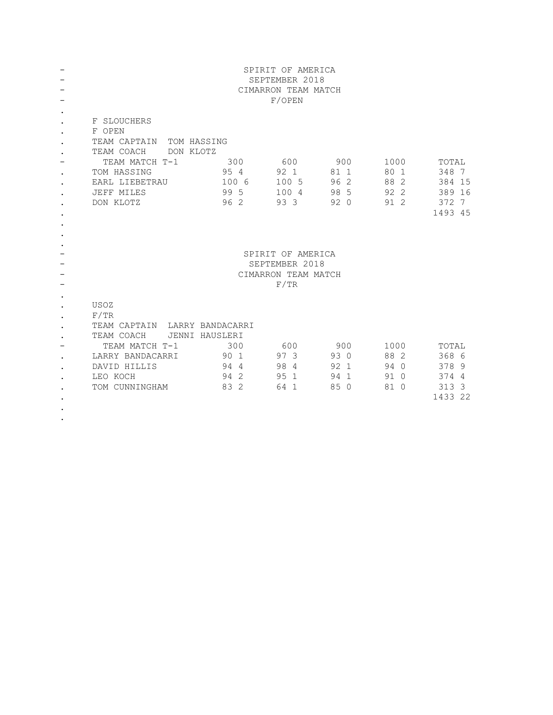|                                                  | SPIRIT OF AMERICA<br>SEPTEMBER 2018<br>CIMARRON TEAM MATCH<br>F/OPEN                                                                                              |                                      |                                       |                                     |                                      |                                                        |  |
|--------------------------------------------------|-------------------------------------------------------------------------------------------------------------------------------------------------------------------|--------------------------------------|---------------------------------------|-------------------------------------|--------------------------------------|--------------------------------------------------------|--|
| $\bullet$<br>$\bullet$<br>$\bullet$<br>$\bullet$ | F SLOUCHERS<br>F OPEN<br>TEAM CAPTAIN<br>TOM HASSING<br>TEAM COACH<br>DON KLOTZ<br>TEAM MATCH T-1<br>TOM HASSING<br>EARL LIEBETRAU<br>JEFF MILES<br>DON KLOTZ     | 300<br>95 4<br>100 6<br>99 5<br>96 2 | 600<br>92 1<br>100 5<br>100 4<br>93 3 | 900<br>81 1<br>96 2<br>98 5<br>92 0 | 1000<br>80 1<br>88 2<br>92 2<br>91 2 | TOTAL<br>348 7<br>384 15<br>389 16<br>372 7<br>1493 45 |  |
| $\bullet$                                        | SPIRIT OF AMERICA<br>SEPTEMBER 2018<br>CIMARRON TEAM MATCH<br>F/TR                                                                                                |                                      |                                       |                                     |                                      |                                                        |  |
| $\bullet$<br>$\bullet$                           | USOZ<br>F/TR<br>TEAM CAPTAIN LARRY BANDACARRI<br>TEAM COACH<br>JENNI HAUSLERI<br>TEAM MATCH T-1<br>LARRY BANDACARRI<br>DAVID HILLIS<br>LEO KOCH<br>TOM CUNNINGHAM | 300<br>90 1<br>944<br>94 2<br>83 2   | 600<br>97 3<br>98 4<br>95 1<br>64 1   | 900<br>93 0<br>92 1<br>94 1<br>85 0 | 1000<br>88 2<br>94 0<br>91 0<br>81 0 | TOTAL<br>368 6<br>378 9<br>374 4<br>313 3<br>1433 22   |  |

.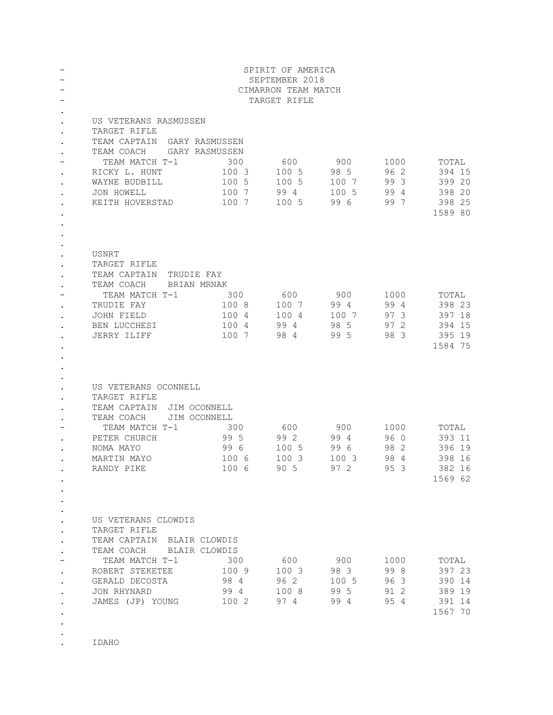|                        | SPIRIT OF AMERICA<br>SEPTEMBER 2018<br>CIMARRON TEAM MATCH<br>TARGET RIFLE |                |              |             |              |                   |  |
|------------------------|----------------------------------------------------------------------------|----------------|--------------|-------------|--------------|-------------------|--|
| $\bullet$              | US VETERANS RASMUSSEN                                                      |                |              |             |              |                   |  |
| $\bullet$              | TARGET RIFLE                                                               |                |              |             |              |                   |  |
|                        | TEAM CAPTAIN GARY RASMUSSEN                                                |                |              |             |              |                   |  |
|                        | TEAM COACH GARY RASMUSSEN<br>TEAM MATCH T-1                                | 300            |              |             |              |                   |  |
|                        | RICKY L. HUNT                                                              | 100 3          | 600<br>100 5 | 900<br>98 5 | 1000<br>96 2 | TOTAL<br>394 15   |  |
| $\bullet$<br>$\bullet$ | WAYNE BUDBILL                                                              | 100 5          | 100 5        | 100 7       | 99 3         | 399 20            |  |
|                        | JON HOWELL                                                                 | 100 7          | 994          | 100 5       | 994          | 398 20            |  |
|                        | KEITH HOVERSTAD                                                            | 100 7          | 100 5        | 996         | 997          | 398 25            |  |
|                        |                                                                            |                |              |             |              | 1589 80           |  |
|                        |                                                                            |                |              |             |              |                   |  |
|                        |                                                                            |                |              |             |              |                   |  |
|                        | USNRT                                                                      |                |              |             |              |                   |  |
| $\bullet$              | TARGET RIFLE                                                               |                |              |             |              |                   |  |
| $\bullet$              | TEAM CAPTAIN TRUDIE FAY                                                    |                |              |             |              |                   |  |
|                        | TEAM COACH BRIAN MRNAK                                                     |                |              |             |              |                   |  |
|                        | TEAM MATCH T-1                                                             | 300            | 600          | 900         | 1000         | TOTAL             |  |
|                        | TRUDIE FAY                                                                 | 100 8          | 100 7        | 994         | 994          | 398 23            |  |
| $\bullet$              | JOHN FIELD                                                                 | 100 4          | 100 4        | 100 7       | 97 3         | 397 18            |  |
|                        | BEN LUCCHESI<br>JERRY ILIFF                                                | 100 4<br>100 7 | 994<br>984   | 98 5<br>995 | 97 2<br>98 3 | 394 15<br>395 19  |  |
|                        |                                                                            |                |              |             |              | 1584 75           |  |
|                        |                                                                            |                |              |             |              |                   |  |
|                        |                                                                            |                |              |             |              |                   |  |
|                        |                                                                            |                |              |             |              |                   |  |
|                        | US VETERANS OCONNELL                                                       |                |              |             |              |                   |  |
|                        | TARGET RIFLE                                                               |                |              |             |              |                   |  |
| $\bullet$              | TEAM CAPTAIN JIM OCONNELL                                                  |                |              |             |              |                   |  |
|                        | TEAM COACH<br>JIM OCONNELL<br>TEAM MATCH T-1                               | 300            | 600          | 900         | 1000         | TOTAL             |  |
| $\bullet$              | PETER CHURCH                                                               | 995            | 992          | 994         | 96 O         | 393 11            |  |
| $\bullet$              | NOMA MAYO                                                                  | 99 6           | 100 5        | 996         | 98 2         | 396 19            |  |
|                        | MARTIN MAYO                                                                | 100 6          | 1003         | 1003        | 98 4         | 398 16            |  |
|                        | RANDY PIKE                                                                 | 100 6          | 90 5         | 97 2        | 95 3         | 382 16            |  |
|                        |                                                                            |                |              |             |              | 1569 62           |  |
|                        |                                                                            |                |              |             |              |                   |  |
|                        |                                                                            |                |              |             |              |                   |  |
| $\bullet$              | US VETERANS CLOWDIS                                                        |                |              |             |              |                   |  |
| $\bullet$              | TARGET RIFLE                                                               |                |              |             |              |                   |  |
| $\bullet$              | TEAM CAPTAIN BLAIR CLOWDIS                                                 |                |              |             |              |                   |  |
| $\bullet$              | TEAM COACH BLAIR CLOWDIS                                                   |                |              |             |              |                   |  |
|                        | TEAM MATCH T-1                                                             | 300            | 600          | 900         | 1000         | TOTAL             |  |
| $\bullet$              | ROBERT STEKETEE                                                            | 100 9          | 100 3        | 983         | 998          | 397 23            |  |
|                        | GERALD DECOSTA                                                             | 98 4           | 96 2         | 100 5       | 963          | 390 14            |  |
|                        | JON RHYNARD<br>JAMES (JP) YOUNG 100 2 97 4                                 | 99 4           | 100 8        | 99 5        | 91 2         | 389 19            |  |
|                        |                                                                            |                |              | 994         | 95 4         | 391 14<br>1567 70 |  |
|                        |                                                                            |                |              |             |              |                   |  |
|                        |                                                                            |                |              |             |              |                   |  |

. IDAHO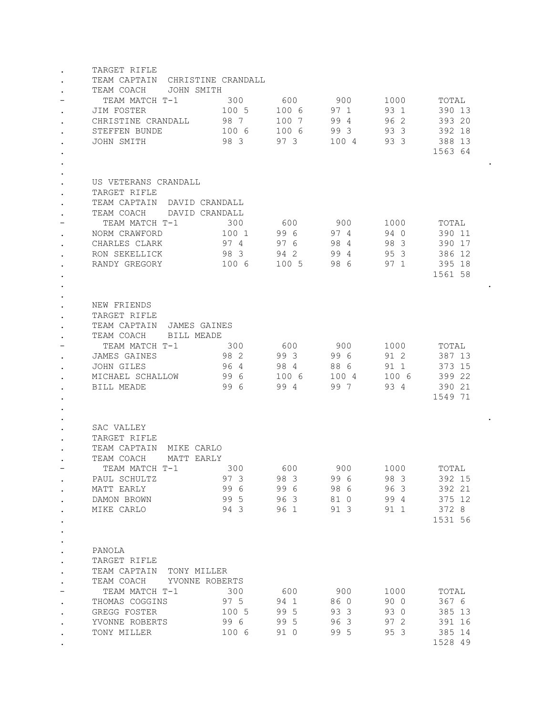|           | TARGET RIFLE                                                          |            |                            |          |                      |         |  |  |
|-----------|-----------------------------------------------------------------------|------------|----------------------------|----------|----------------------|---------|--|--|
|           | TEAM CAPTAIN CHRISTINE CRANDALL                                       |            |                            |          |                      |         |  |  |
|           | TEAM COACH<br>JOHN SMITH                                              |            |                            |          |                      |         |  |  |
|           | TEAM MATCH T-1                                                        | 300        | 600                        | 900      | 1000                 | TOTAL   |  |  |
| $\bullet$ | JIM FOSTER                                                            | 100 5      | 100 6                      | 97 1     | 93 1                 | 390 13  |  |  |
|           | CHRISTINE CRANDALL                                                    | 98 7       | 100 7                      | 99 4     | 96 2                 | 393 20  |  |  |
| $\bullet$ | STEFFEN BUNDE                                                         | 100 6      | 100 6                      | 99 3     | 93 3                 | 392 18  |  |  |
| $\bullet$ | JOHN SMITH                                                            | 983        | 97 3                       | 100 4    | 93 3                 | 388 13  |  |  |
|           |                                                                       |            |                            |          |                      | 1563 64 |  |  |
|           |                                                                       |            |                            |          |                      |         |  |  |
|           |                                                                       |            |                            |          |                      |         |  |  |
| $\bullet$ | US VETERANS CRANDALL                                                  |            |                            |          |                      |         |  |  |
| $\bullet$ | TARGET RIFLE                                                          |            |                            |          |                      |         |  |  |
| $\bullet$ | TEAM CAPTAIN DAVID CRANDALL                                           |            |                            |          |                      |         |  |  |
|           | TEAM COACH<br>DAVID CRANDALL                                          |            |                            |          |                      |         |  |  |
|           | TEAM MATCH T-1                                                        | 300        | 600                        | 900      | 1000                 | TOTAL   |  |  |
| $\bullet$ | NORM CRAWFORD                                                         | 100 1      | 996                        | 974      | 940                  | 390 11  |  |  |
|           | CHARLES CLARK                                                         | 97 4       | 976                        | 984      | 98 3                 | 390 17  |  |  |
|           | RON SEKELLICK                                                         | 983        | 94 2                       | 994      | 95 3                 | 386 12  |  |  |
| $\bullet$ | RANDY GREGORY                                                         | 100 6      | 100 5                      | 98 6     | 971                  | 395 18  |  |  |
| $\bullet$ |                                                                       |            |                            |          |                      | 1561 58 |  |  |
|           |                                                                       |            |                            |          |                      |         |  |  |
|           |                                                                       |            |                            |          |                      |         |  |  |
|           | NEW FRIENDS                                                           |            |                            |          |                      |         |  |  |
| $\bullet$ | TARGET RIFLE                                                          |            |                            |          |                      |         |  |  |
| $\bullet$ | TEAM CAPTAIN<br>JAMES GAINES                                          |            |                            |          |                      |         |  |  |
|           | TEAM COACH<br>BILL MEADE                                              |            |                            |          |                      |         |  |  |
|           | TEAM MATCH T-1                                                        | 300        | 600                        | - 900    | 1000                 | TOTAL   |  |  |
| $\bullet$ | <b>JAMES GAINES</b>                                                   | 98 2       | 99 3                       | 996      | 91 2                 | 387 13  |  |  |
| $\bullet$ | JOHN GILES                                                            | 964        | 984                        | 88 6     | 91 1                 | 373 15  |  |  |
|           | MICHAEL SCHALLOW                                                      | 996        | 100 6                      | 100 4    | 100 6                | 399 22  |  |  |
| $\bullet$ | BILL MEADE                                                            | 996        | 99 4                       | 99 7     | 93 4                 | 390 21  |  |  |
|           |                                                                       |            |                            |          |                      | 1549 71 |  |  |
|           |                                                                       |            |                            |          |                      |         |  |  |
|           |                                                                       |            |                            |          |                      |         |  |  |
|           | SAC VALLEY                                                            |            |                            |          |                      |         |  |  |
| $\bullet$ | TARGET RIFLE                                                          |            |                            |          |                      |         |  |  |
|           | TEAM CAPTAIN<br>MIKE CARLO                                            |            |                            |          |                      |         |  |  |
|           | TEAM COACH<br>MATT EARLY                                              |            |                            |          |                      |         |  |  |
|           | TEAM MATCH T-1                                                        | 300        | 600                        | 900 1000 |                      | TOTAL   |  |  |
|           | PAUL SCHULTZ                                                          | 973        | 983                        | 996      | 98 3                 | 392 15  |  |  |
| $\bullet$ | MATT EARLY                                                            |            | 99 6 99 6 98 6 96 3        |          |                      | 392 21  |  |  |
| $\bullet$ | DAMON BROWN                                                           |            | 99 5 96 3 81 0 99 4 375 12 |          |                      |         |  |  |
| $\bullet$ | MIKE CARLO                                                            |            | 94 3 96 1 91 3 91 1        |          |                      | 372 8   |  |  |
| $\bullet$ |                                                                       |            |                            |          |                      | 1531 56 |  |  |
| $\bullet$ |                                                                       |            |                            |          |                      |         |  |  |
|           |                                                                       |            |                            |          |                      |         |  |  |
|           |                                                                       |            |                            |          |                      |         |  |  |
| $\bullet$ | PANOLA                                                                |            |                            |          |                      |         |  |  |
| $\bullet$ | TARGET RIFLE                                                          |            |                            |          |                      |         |  |  |
| $\bullet$ | TEAM CAPTAIN TONY MILLER                                              |            |                            |          |                      |         |  |  |
| $\bullet$ | TEAM COACH YVONNE ROBERTS                                             |            |                            |          |                      |         |  |  |
| -         | TEAM MATCH T-1 300                                                    |            | 600                        | 900 1000 |                      | TOTAL   |  |  |
| $\bullet$ |                                                                       |            |                            | 86 0     |                      | 367 6   |  |  |
| $\bullet$ | THOMAS COGGINS<br>GREGG FOSTER 100 5 99 5<br>YVONNE ROBERTS 99 6 99 5 |            |                            | 933      | 90 0<br>93 0<br>97 2 | 385 13  |  |  |
|           |                                                                       |            |                            | 96 3     |                      | 391 16  |  |  |
|           | TONY MILLER                                                           | 100 6 91 0 |                            | 99 5     | 95 3                 | 385 14  |  |  |
|           |                                                                       |            |                            |          |                      | 1528 49 |  |  |